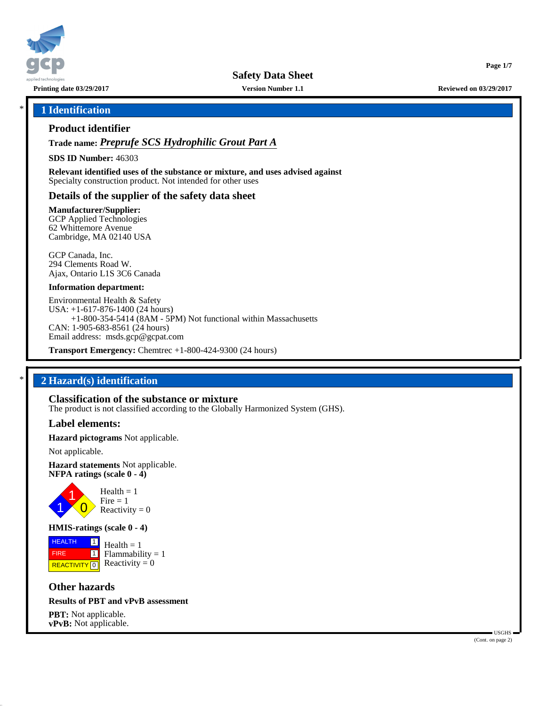

**Safety Data Sheet**

**Printing date 03/29/2017 Version Number 1.1 Reviewed on 03/29/2017**

### \* **1 Identification**

### **Product identifier**

**Trade name:** *Preprufe SCS Hydrophilic Grout Part A*

**SDS ID Number:** 46303

**Relevant identified uses of the substance or mixture, and uses advised against** Specialty construction product. Not intended for other uses

### **Details of the supplier of the safety data sheet**

**Manufacturer/Supplier:**

GCP Applied Technologies 62 Whittemore Avenue Cambridge, MA 02140 USA

GCP Canada, Inc. 294 Clements Road W. Ajax, Ontario L1S 3C6 Canada

#### **Information department:**

Environmental Health & Safety USA: +1-617-876-1400 (24 hours) +1-800-354-5414 (8AM - 5PM) Not functional within Massachusetts CAN: 1-905-683-8561 (24 hours) Email address: msds.gcp@gcpat.com

**Transport Emergency:** Chemtrec +1-800-424-9300 (24 hours)

# \* **2 Hazard(s) identification**

#### **Classification of the substance or mixture**

The product is not classified according to the Globally Harmonized System (GHS).

#### **Label elements:**

**Hazard pictograms** Not applicable.

Not applicable.

**Hazard statements** Not applicable. **NFPA ratings (scale 0 - 4)**



### **HMIS-ratings (scale 0 - 4)**

**HEALTH**  FIRE **REACTIVITY** 0 |1|  $\boxed{1}$  $Health = 1$  $Flammability = 1$ Reactivity  $= 0$ 

# **Other hazards**

### **Results of PBT and vPvB assessment**

**PBT:** Not applicable. **vPvB:** Not applicable.

 USGHS (Cont. on page 2)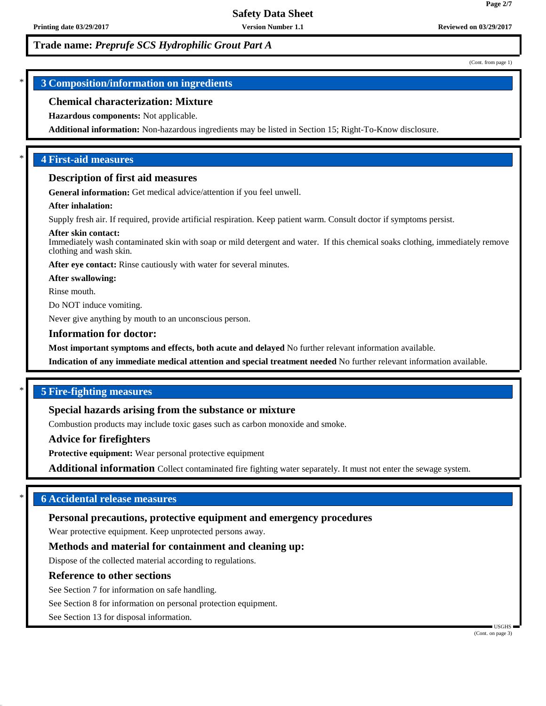(Cont. from page 1)

**Page 2/7**

# \* **3 Composition/information on ingredients**

### **Chemical characterization: Mixture**

#### **Hazardous components:** Not applicable.

**Additional information:** Non-hazardous ingredients may be listed in Section 15; Right-To-Know disclosure.

# \* **4 First-aid measures**

#### **Description of first aid measures**

**General information:** Get medical advice/attention if you feel unwell.

#### **After inhalation:**

Supply fresh air. If required, provide artificial respiration. Keep patient warm. Consult doctor if symptoms persist.

#### **After skin contact:**

Immediately wash contaminated skin with soap or mild detergent and water. If this chemical soaks clothing, immediately remove clothing and wash skin.

**After eye contact:** Rinse cautiously with water for several minutes.

**After swallowing:**

Rinse mouth.

Do NOT induce vomiting.

Never give anything by mouth to an unconscious person.

#### **Information for doctor:**

**Most important symptoms and effects, both acute and delayed** No further relevant information available.

**Indication of any immediate medical attention and special treatment needed** No further relevant information available.

### \* **5 Fire-fighting measures**

### **Special hazards arising from the substance or mixture**

Combustion products may include toxic gases such as carbon monoxide and smoke.

#### **Advice for firefighters**

**Protective equipment:** Wear personal protective equipment

**Additional information** Collect contaminated fire fighting water separately. It must not enter the sewage system.

# \* **6 Accidental release measures**

#### **Personal precautions, protective equipment and emergency procedures**

Wear protective equipment. Keep unprotected persons away.

#### **Methods and material for containment and cleaning up:**

Dispose of the collected material according to regulations.

#### **Reference to other sections**

See Section 7 for information on safe handling.

See Section 8 for information on personal protection equipment.

See Section 13 for disposal information.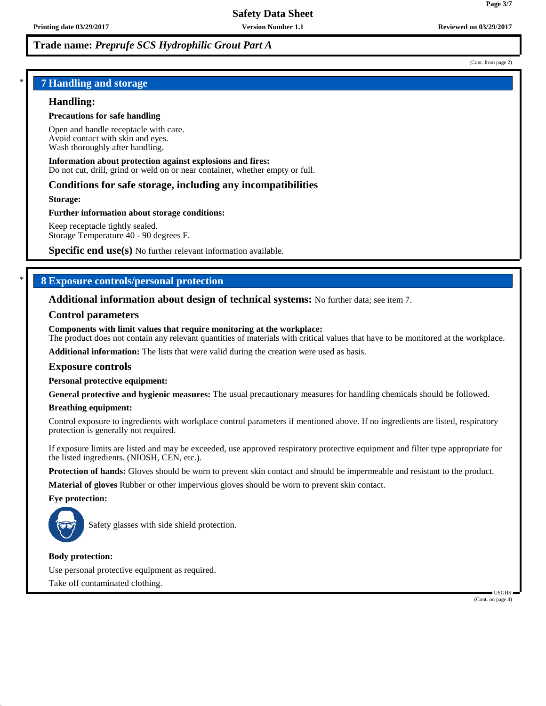(Cont. from page 2)

# \* **7 Handling and storage**

# **Handling:**

## **Precautions for safe handling**

Open and handle receptacle with care. Avoid contact with skin and eyes. Wash thoroughly after handling.

# **Information about protection against explosions and fires:**

Do not cut, drill, grind or weld on or near container, whether empty or full.

# **Conditions for safe storage, including any incompatibilities**

**Storage:**

# **Further information about storage conditions:**

Keep receptacle tightly sealed. Storage Temperature 40 - 90 degrees F.

**Specific end use(s)** No further relevant information available.

# \* **8 Exposure controls/personal protection**

# **Additional information about design of technical systems:** No further data; see item 7.

# **Control parameters**

**Components with limit values that require monitoring at the workplace:** The product does not contain any relevant quantities of materials with critical values that have to be monitored at the workplace.

**Additional information:** The lists that were valid during the creation were used as basis.

# **Exposure controls**

**Personal protective equipment:**

**General protective and hygienic measures:** The usual precautionary measures for handling chemicals should be followed.

# **Breathing equipment:**

Control exposure to ingredients with workplace control parameters if mentioned above. If no ingredients are listed, respiratory protection is generally not required.

If exposure limits are listed and may be exceeded, use approved respiratory protective equipment and filter type appropriate for the listed ingredients. (NIOSH, CEN, etc.).

**Protection of hands:** Gloves should be worn to prevent skin contact and should be impermeable and resistant to the product.

**Material of gloves** Rubber or other impervious gloves should be worn to prevent skin contact.

**Eye protection:**



Safety glasses with side shield protection.

# **Body protection:**

Use personal protective equipment as required. Take off contaminated clothing.

> USGHS (Cont. on page 4)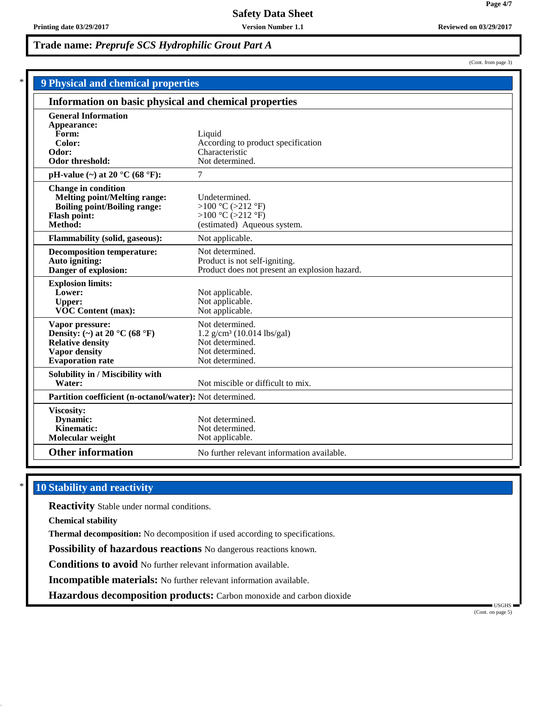| <b>9 Physical and chemical properties</b>                                                                                                  |                                                                                                                      |  |  |  |
|--------------------------------------------------------------------------------------------------------------------------------------------|----------------------------------------------------------------------------------------------------------------------|--|--|--|
| Information on basic physical and chemical properties                                                                                      |                                                                                                                      |  |  |  |
| <b>General Information</b><br>Appearance:<br>Form:<br>Color:<br>Odor:<br>Odor threshold:                                                   | Liquid<br>According to product specification<br>Characteristic<br>Not determined.                                    |  |  |  |
| pH-value $(\sim)$ at 20 °C (68 °F):                                                                                                        | 7                                                                                                                    |  |  |  |
| <b>Change in condition</b><br><b>Melting point/Melting range:</b><br><b>Boiling point/Boiling range:</b><br><b>Flash point:</b><br>Method: | Undetermined.<br>>100 °C (>212 °F)<br>>100 °C (>212 °F)<br>(estimated) Aqueous system.                               |  |  |  |
| Flammability (solid, gaseous):                                                                                                             | Not applicable.                                                                                                      |  |  |  |
| <b>Decomposition temperature:</b><br>Auto igniting:<br>Danger of explosion:                                                                | Not determined.<br>Product is not self-igniting.<br>Product does not present an explosion hazard.                    |  |  |  |
| <b>Explosion limits:</b><br>Lower:<br><b>Upper:</b><br><b>VOC Content (max):</b>                                                           | Not applicable.<br>Not applicable.<br>Not applicable.                                                                |  |  |  |
| Vapor pressure:<br>Density: (~) at 20 °C (68 °F)<br><b>Relative density</b><br>Vapor density<br><b>Evaporation</b> rate                    | Not determined.<br>$1.2$ g/cm <sup>3</sup> (10.014 lbs/gal)<br>Not determined.<br>Not determined.<br>Not determined. |  |  |  |
| Solubility in / Miscibility with<br>Water:                                                                                                 | Not miscible or difficult to mix.                                                                                    |  |  |  |
| Partition coefficient (n-octanol/water): Not determined.                                                                                   |                                                                                                                      |  |  |  |
| Viscosity:<br>Dynamic:<br>Kinematic:<br>Molecular weight                                                                                   | Not determined.<br>Not determined.<br>Not applicable.                                                                |  |  |  |
| <b>Other information</b>                                                                                                                   | No further relevant information available.                                                                           |  |  |  |

# **10 Stability and reactivity**

**Reactivity** Stable under normal conditions.

**Chemical stability**

**Thermal decomposition:** No decomposition if used according to specifications.

**Possibility of hazardous reactions** No dangerous reactions known.

**Conditions to avoid** No further relevant information available.

**Incompatible materials:** No further relevant information available.

**Hazardous decomposition products:** Carbon monoxide and carbon dioxide

 USGHS (Cont. on page 5)

(Cont. from page 3)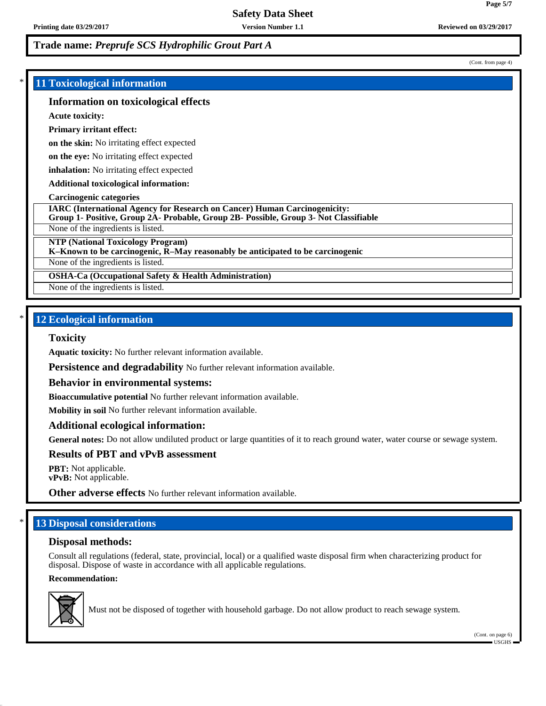**Printing date 03/29/2017 Version Number 1.1 Reviewed on 03/29/2017**

# **Trade name:** *Preprufe SCS Hydrophilic Grout Part A*

### \* **11 Toxicological information**

### **Information on toxicological effects**

**Acute toxicity:**

#### **Primary irritant effect:**

**on the skin:** No irritating effect expected

**on the eye:** No irritating effect expected

**inhalation:** No irritating effect expected

**Additional toxicological information:**

#### **Carcinogenic categories**

**IARC (International Agency for Research on Cancer) Human Carcinogenicity:**

**Group 1- Positive, Group 2A- Probable, Group 2B- Possible, Group 3- Not Classifiable**

None of the ingredients is listed.

**NTP (National Toxicology Program)**

**K–Known to be carcinogenic, R–May reasonably be anticipated to be carcinogenic**

None of the ingredients is listed.

**OSHA-Ca (Occupational Safety & Health Administration)**

None of the ingredients is listed.

# **12 Ecological information**

#### **Toxicity**

**Aquatic toxicity:** No further relevant information available.

**Persistence and degradability** No further relevant information available.

#### **Behavior in environmental systems:**

**Bioaccumulative potential** No further relevant information available.

**Mobility in soil** No further relevant information available.

#### **Additional ecological information:**

**General notes:** Do not allow undiluted product or large quantities of it to reach ground water, water course or sewage system.

### **Results of PBT and vPvB assessment**

**PBT:** Not applicable. **vPvB:** Not applicable.

**Other adverse effects** No further relevant information available.

# **13 Disposal considerations**

### **Disposal methods:**

Consult all regulations (federal, state, provincial, local) or a qualified waste disposal firm when characterizing product for disposal. Dispose of waste in accordance with all applicable regulations.

### **Recommendation:**



Must not be disposed of together with household garbage. Do not allow product to reach sewage system.

**Page 5/7**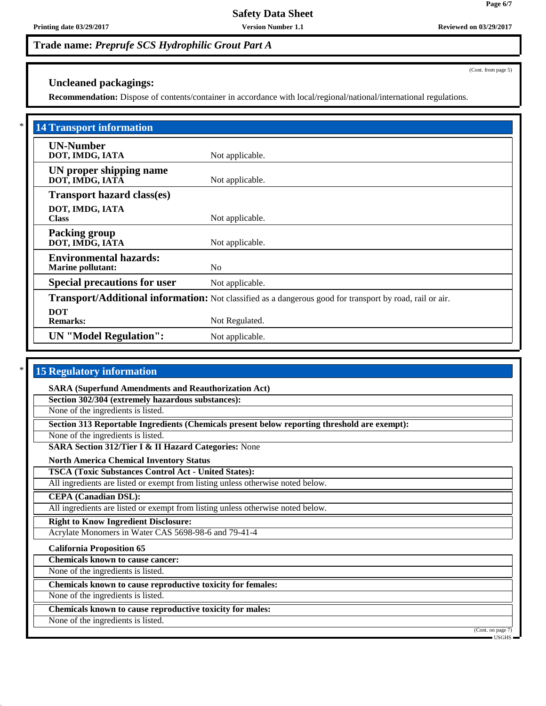# **Uncleaned packagings:**

**Recommendation:** Dispose of contents/container in accordance with local/regional/national/international regulations.

| <b>14 Transport information</b>                           |                                                                                                          |
|-----------------------------------------------------------|----------------------------------------------------------------------------------------------------------|
| <b>UN-Number</b><br>DOT, IMDG, IATA                       | Not applicable.                                                                                          |
| UN proper shipping name<br>DOT, IMDG, IATĀ                | Not applicable.                                                                                          |
| <b>Transport hazard class(es)</b>                         |                                                                                                          |
| DOT, IMDG, IATA<br><b>Class</b>                           | Not applicable.                                                                                          |
| <b>Packing group</b><br>DOT, IMDG, IATA                   | Not applicable.                                                                                          |
| <b>Environmental hazards:</b><br><b>Marine pollutant:</b> | No                                                                                                       |
| <b>Special precautions for user</b>                       | Not applicable.                                                                                          |
|                                                           | Transport/Additional information: Not classified as a dangerous good for transport by road, rail or air. |
| <b>DOT</b><br><b>Remarks:</b>                             | Not Regulated.                                                                                           |
| <b>UN</b> "Model Regulation":                             | Not applicable.                                                                                          |

### **15 Regulatory information**

**SARA (Superfund Amendments and Reauthorization Act)**

**Section 302/304 (extremely hazardous substances):**

None of the ingredients is listed.

**Section 313 Reportable Ingredients (Chemicals present below reporting threshold are exempt):**

None of the ingredients is listed.

**SARA Section 312/Tier I & II Hazard Categories:** None

**North America Chemical Inventory Status**

**TSCA (Toxic Substances Control Act - United States):**

All ingredients are listed or exempt from listing unless otherwise noted below.

**CEPA (Canadian DSL):**

All ingredients are listed or exempt from listing unless otherwise noted below.

**Right to Know Ingredient Disclosure:**

Acrylate Monomers in Water CAS 5698-98-6 and 79-41-4

**California Proposition 65**

**Chemicals known to cause cancer:**

None of the ingredients is listed.

**Chemicals known to cause reproductive toxicity for females:**

None of the ingredients is listed.

**Chemicals known to cause reproductive toxicity for males:**

None of the ingredients is listed.

(Cont. on page<sup>7</sup> USGHS

(Cont. from page 5)

**Page 6/7**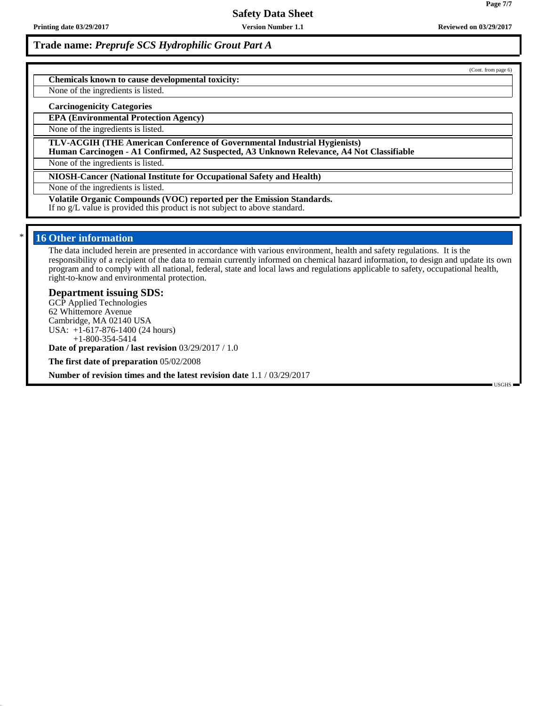**Printing date 03/29/2017 Version Number 1.1 Reviewed on 03/29/2017**

# **Trade name:** *Preprufe SCS Hydrophilic Grout Part A*

**Chemicals known to cause developmental toxicity:**

None of the ingredients is listed.

#### **Carcinogenicity Categories**

**EPA (Environmental Protection Agency)**

None of the ingredients is listed.

**TLV-ACGIH (THE American Conference of Governmental Industrial Hygienists)**

**Human Carcinogen - A1 Confirmed, A2 Suspected, A3 Unknown Relevance, A4 Not Classifiable**

None of the ingredients is listed.

**NIOSH-Cancer (National Institute for Occupational Safety and Health)**

None of the ingredients is listed.

**Volatile Organic Compounds (VOC) reported per the Emission Standards.** If no g/L value is provided this product is not subject to above standard.

### **16 Other information**

The data included herein are presented in accordance with various environment, health and safety regulations. It is the responsibility of a recipient of the data to remain currently informed on chemical hazard information, to design and update its own program and to comply with all national, federal, state and local laws and regulations applicable to safety, occupational health, right-to-know and environmental protection.

#### **Department issuing SDS:**

GCP Applied Technologies 62 Whittemore Avenue Cambridge, MA 02140 USA USA: +1-617-876-1400 (24 hours) +1-800-354-5414

**Date of preparation / last revision** 03/29/2017 / 1.0

**The first date of preparation** 05/02/2008

**Number of revision times and the latest revision date** 1.1 / 03/29/2017

USGHS

**Page 7/7**

(Cont. from page 6)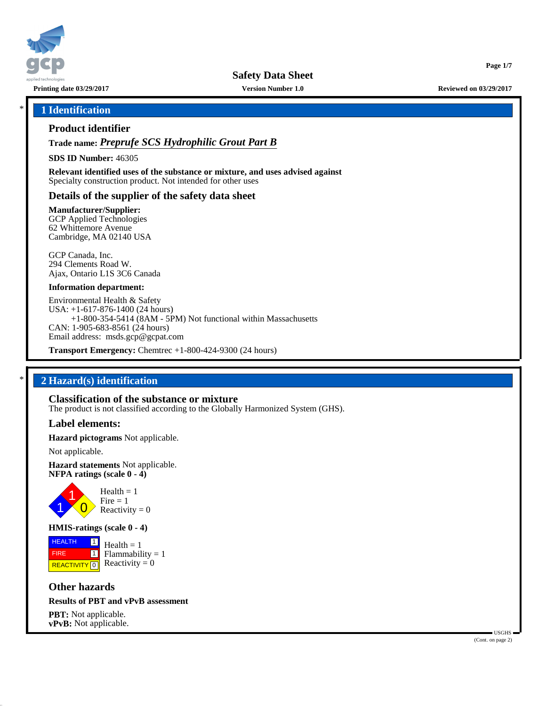

**Safety Data Sheet**

**Printing date 03/29/2017 Version Number 1.0 Reviewed on 03/29/2017**

### \* **1 Identification**

### **Product identifier**

**Trade name:** *Preprufe SCS Hydrophilic Grout Part B*

**SDS ID Number:** 46305

**Relevant identified uses of the substance or mixture, and uses advised against** Specialty construction product. Not intended for other uses

### **Details of the supplier of the safety data sheet**

**Manufacturer/Supplier:**

GCP Applied Technologies 62 Whittemore Avenue Cambridge, MA 02140 USA

GCP Canada, Inc. 294 Clements Road W. Ajax, Ontario L1S 3C6 Canada

#### **Information department:**

Environmental Health & Safety USA: +1-617-876-1400 (24 hours) +1-800-354-5414 (8AM - 5PM) Not functional within Massachusetts CAN: 1-905-683-8561 (24 hours) Email address: msds.gcp@gcpat.com

**Transport Emergency:** Chemtrec +1-800-424-9300 (24 hours)

# \* **2 Hazard(s) identification**

### **Classification of the substance or mixture**

The product is not classified according to the Globally Harmonized System (GHS).

### **Label elements:**

**Hazard pictograms** Not applicable.

Not applicable.

**Hazard statements** Not applicable. **NFPA ratings (scale 0 - 4)**



### **HMIS-ratings (scale 0 - 4)**

**HEALTH**  FIRE **REACTIVITY** 0 |1|  $\boxed{1}$  $Health = 1$  $Flammability = 1$ Reactivity  $= 0$ 

# **Other hazards**

### **Results of PBT and vPvB assessment**

**PBT:** Not applicable. **vPvB:** Not applicable.

 USGHS (Cont. on page 2)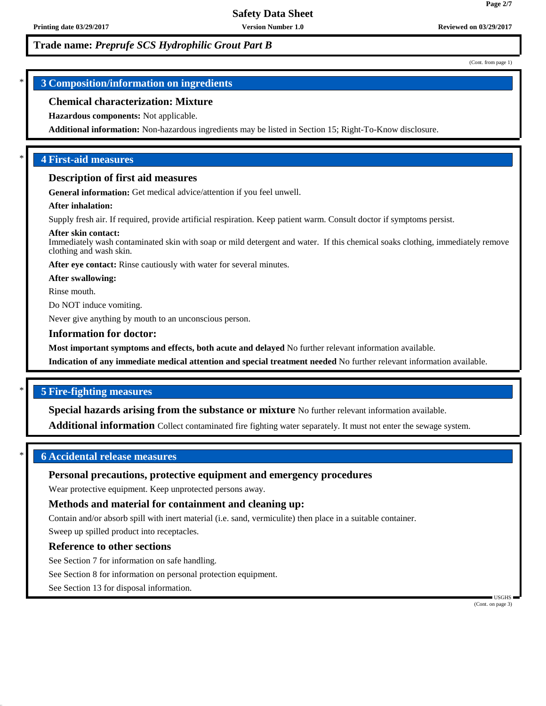(Cont. from page 1)

**Page 2/7**

# \* **3 Composition/information on ingredients**

### **Chemical characterization: Mixture**

#### **Hazardous components:** Not applicable.

**Additional information:** Non-hazardous ingredients may be listed in Section 15; Right-To-Know disclosure.

# \* **4 First-aid measures**

#### **Description of first aid measures**

**General information:** Get medical advice/attention if you feel unwell.

#### **After inhalation:**

Supply fresh air. If required, provide artificial respiration. Keep patient warm. Consult doctor if symptoms persist.

#### **After skin contact:**

Immediately wash contaminated skin with soap or mild detergent and water. If this chemical soaks clothing, immediately remove clothing and wash skin.

**After eye contact:** Rinse cautiously with water for several minutes.

**After swallowing:**

Rinse mouth.

Do NOT induce vomiting.

Never give anything by mouth to an unconscious person.

#### **Information for doctor:**

**Most important symptoms and effects, both acute and delayed** No further relevant information available.

**Indication of any immediate medical attention and special treatment needed** No further relevant information available.

### \* **5 Fire-fighting measures**

**Special hazards arising from the substance or mixture** No further relevant information available.

**Additional information** Collect contaminated fire fighting water separately. It must not enter the sewage system.

### \* **6 Accidental release measures**

### **Personal precautions, protective equipment and emergency procedures**

Wear protective equipment. Keep unprotected persons away.

# **Methods and material for containment and cleaning up:**

Contain and/or absorb spill with inert material (i.e. sand, vermiculite) then place in a suitable container.

Sweep up spilled product into receptacles.

# **Reference to other sections**

See Section 7 for information on safe handling.

See Section 8 for information on personal protection equipment.

See Section 13 for disposal information.

 USGHS (Cont. on page 3)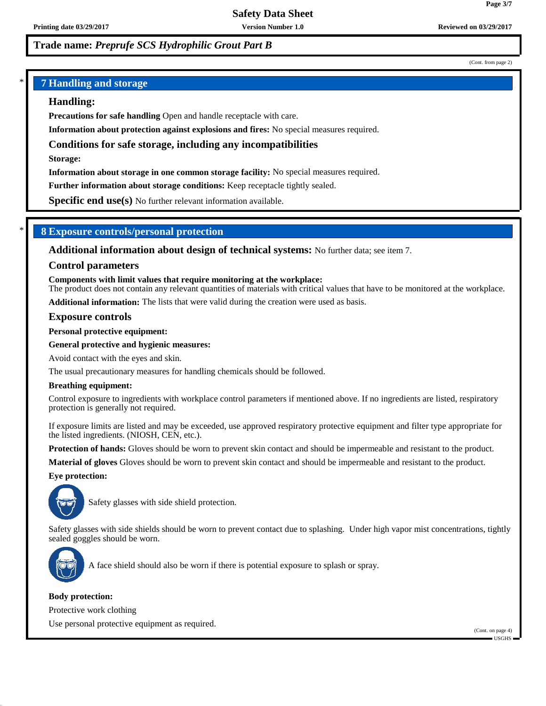(Cont. from page 2)

**Page 3/7**

# \* **7 Handling and storage**

### **Handling:**

**Precautions for safe handling** Open and handle receptacle with care.

**Information about protection against explosions and fires:** No special measures required.

## **Conditions for safe storage, including any incompatibilities**

**Storage:**

**Information about storage in one common storage facility:** No special measures required.

**Further information about storage conditions:** Keep receptacle tightly sealed.

**Specific end use(s)** No further relevant information available.

## \* **8 Exposure controls/personal protection**

**Additional information about design of technical systems:** No further data; see item 7.

#### **Control parameters**

**Components with limit values that require monitoring at the workplace:**

The product does not contain any relevant quantities of materials with critical values that have to be monitored at the workplace.

**Additional information:** The lists that were valid during the creation were used as basis.

#### **Exposure controls**

**Personal protective equipment:**

#### **General protective and hygienic measures:**

Avoid contact with the eyes and skin.

The usual precautionary measures for handling chemicals should be followed.

#### **Breathing equipment:**

Control exposure to ingredients with workplace control parameters if mentioned above. If no ingredients are listed, respiratory protection is generally not required.

If exposure limits are listed and may be exceeded, use approved respiratory protective equipment and filter type appropriate for the listed ingredients. (NIOSH, CEN, etc.).

**Protection of hands:** Gloves should be worn to prevent skin contact and should be impermeable and resistant to the product.

**Material of gloves** Gloves should be worn to prevent skin contact and should be impermeable and resistant to the product.

#### **Eye protection:**



Safety glasses with side shield protection.

Safety glasses with side shields should be worn to prevent contact due to splashing. Under high vapor mist concentrations, tightly sealed goggles should be worn.



A face shield should also be worn if there is potential exposure to splash or spray.

#### **Body protection:**

Protective work clothing

Use personal protective equipment as required.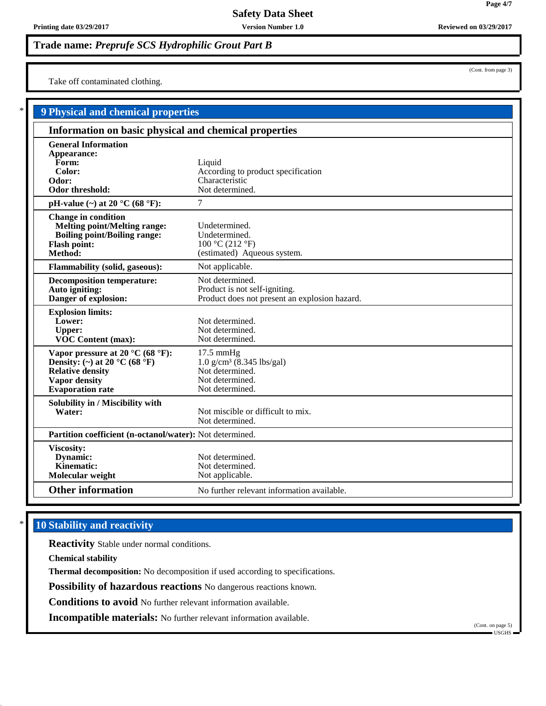**Printing date 03/29/2017 Version Number 1.0 Reviewed on 03/29/2017**

**Trade name:** *Preprufe SCS Hydrophilic Grout Part B*

Take off contaminated clothing.

| <b>9 Physical and chemical properties</b>                                                                                                                           |                                                                                                                      |
|---------------------------------------------------------------------------------------------------------------------------------------------------------------------|----------------------------------------------------------------------------------------------------------------------|
| Information on basic physical and chemical properties                                                                                                               |                                                                                                                      |
| <b>General Information</b><br>Appearance:<br>Form:<br>Color:<br>Odor:<br>Odor threshold:                                                                            | Liquid<br>According to product specification<br>Characteristic<br>Not determined.                                    |
| pH-value $(\sim)$ at 20 °C (68 °F):                                                                                                                                 | $\overline{7}$                                                                                                       |
| <b>Change in condition</b><br><b>Melting point/Melting range:</b><br><b>Boiling point/Boiling range:</b><br><b>Flash point:</b><br>Method:                          | Undetermined.<br>Undetermined.<br>100 °C (212 °F)<br>(estimated) Aqueous system.                                     |
| <b>Flammability (solid, gaseous):</b>                                                                                                                               | Not applicable.                                                                                                      |
| <b>Decomposition temperature:</b><br>Auto igniting:<br>Danger of explosion:                                                                                         | Not determined.<br>Product is not self-igniting.<br>Product does not present an explosion hazard.                    |
| <b>Explosion limits:</b><br>Lower:<br><b>Upper:</b><br><b>VOC Content (max):</b>                                                                                    | Not determined.<br>Not determined.<br>Not determined.                                                                |
| Vapor pressure at 20 $^{\circ}$ C (68 $^{\circ}$ F):<br>Density: (~) at 20 °C (68 °F)<br><b>Relative density</b><br><b>Vapor density</b><br><b>Evaporation</b> rate | $17.5 \text{ mmHg}$<br>$1.0 \text{ g/cm}^3$ (8.345 lbs/gal)<br>Not determined.<br>Not determined.<br>Not determined. |
| Solubility in / Miscibility with<br>Water:                                                                                                                          | Not miscible or difficult to mix.<br>Not determined.                                                                 |
| Partition coefficient (n-octanol/water): Not determined.                                                                                                            |                                                                                                                      |
| Viscosity:<br>Dynamic:<br><b>Kinematic:</b><br>Molecular weight                                                                                                     | Not determined.<br>Not determined.<br>Not applicable.                                                                |
| <b>Other information</b>                                                                                                                                            | No further relevant information available.                                                                           |

# **10 Stability and reactivity**

**Reactivity** Stable under normal conditions.

**Chemical stability**

**Thermal decomposition:** No decomposition if used according to specifications.

**Possibility of hazardous reactions** No dangerous reactions known.

**Conditions to avoid** No further relevant information available.

**Incompatible materials:** No further relevant information available.

(Cont. from page 3)

**Page 4/7**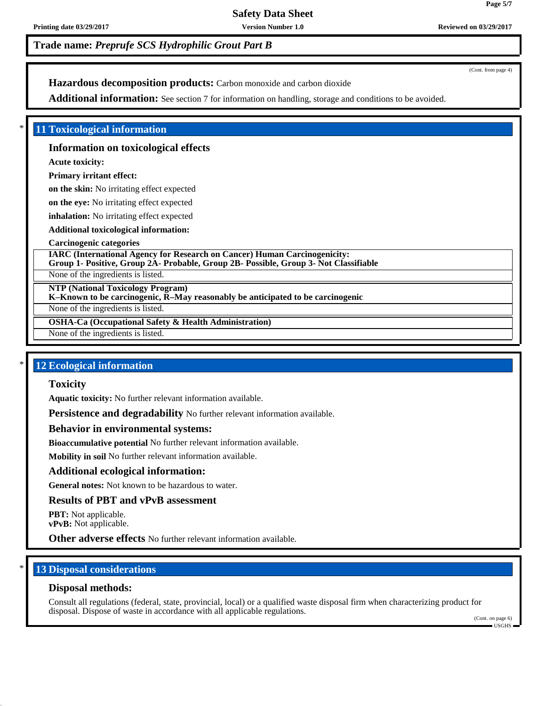# **Safety Data Sheet**

**Printing date 03/29/2017 Version Number 1.0 Reviewed on 03/29/2017**

# **Trade name:** *Preprufe SCS Hydrophilic Grout Part B*

(Cont. from page 4)

**Page 5/7**

# **Hazardous decomposition products:** Carbon monoxide and carbon dioxide

Additional information: See section 7 for information on handling, storage and conditions to be avoided.

### \* **11 Toxicological information**

#### **Information on toxicological effects**

**Acute toxicity:**

### **Primary irritant effect:**

**on the skin:** No irritating effect expected

**on the eye:** No irritating effect expected

**inhalation:** No irritating effect expected

**Additional toxicological information:**

#### **Carcinogenic categories**

**IARC (International Agency for Research on Cancer) Human Carcinogenicity: Group 1- Positive, Group 2A- Probable, Group 2B- Possible, Group 3- Not Classifiable**

None of the ingredients is listed.

**NTP (National Toxicology Program)**

**K–Known to be carcinogenic, R–May reasonably be anticipated to be carcinogenic**

None of the ingredients is listed.

**OSHA-Ca (Occupational Safety & Health Administration)**

None of the ingredients is listed.

# **12 Ecological information**

#### **Toxicity**

**Aquatic toxicity:** No further relevant information available.

**Persistence and degradability** No further relevant information available.

#### **Behavior in environmental systems:**

**Bioaccumulative potential** No further relevant information available.

**Mobility in soil** No further relevant information available.

#### **Additional ecological information:**

**General notes:** Not known to be hazardous to water.

#### **Results of PBT and vPvB assessment**

**PBT:** Not applicable. **vPvB:** Not applicable.

**Other adverse effects** No further relevant information available.

### **13 Disposal considerations**

#### **Disposal methods:**

Consult all regulations (federal, state, provincial, local) or a qualified waste disposal firm when characterizing product for disposal. Dispose of waste in accordance with all applicable regulations.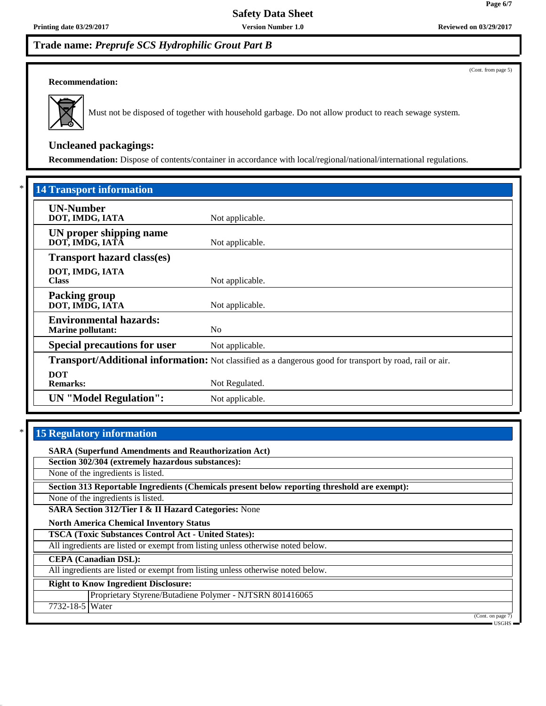**Printing date 03/29/2017 Version Number 1.0 Reviewed on 03/29/2017**

# **Trade name:** *Preprufe SCS Hydrophilic Grout Part B*

(Cont. from page 5)

#### **Recommendation:**



Must not be disposed of together with household garbage. Do not allow product to reach sewage system.

# **Uncleaned packagings:**

**Recommendation:** Dispose of contents/container in accordance with local/regional/national/international regulations.

| <b>14 Transport information</b>                           |                                                                                                          |
|-----------------------------------------------------------|----------------------------------------------------------------------------------------------------------|
| <b>UN-Number</b><br>DOT, IMDG, IATA                       | Not applicable.                                                                                          |
| UN proper shipping name<br>DOT, IMDG, IATĀ                | Not applicable.                                                                                          |
| <b>Transport hazard class(es)</b>                         |                                                                                                          |
| DOT, IMDG, IATA<br><b>Class</b>                           | Not applicable.                                                                                          |
| <b>Packing group</b><br>DOT, IMDG, IATA                   | Not applicable.                                                                                          |
| <b>Environmental hazards:</b><br><b>Marine pollutant:</b> | N <sub>0</sub>                                                                                           |
| <b>Special precautions for user</b>                       | Not applicable.                                                                                          |
|                                                           | Transport/Additional information: Not classified as a dangerous good for transport by road, rail or air. |
| <b>DOT</b><br><b>Remarks:</b>                             | Not Regulated.                                                                                           |
| <b>UN</b> "Model Regulation":                             | Not applicable.                                                                                          |

# **15 Regulatory information**

**SARA (Superfund Amendments and Reauthorization Act)**

**Section 302/304 (extremely hazardous substances):**

None of the ingredients is listed.

**Section 313 Reportable Ingredients (Chemicals present below reporting threshold are exempt):**

None of the ingredients is listed.

**SARA Section 312/Tier I & II Hazard Categories:** None

**North America Chemical Inventory Status**

**TSCA (Toxic Substances Control Act - United States):**

All ingredients are listed or exempt from listing unless otherwise noted below.

**CEPA (Canadian DSL):**

All ingredients are listed or exempt from listing unless otherwise noted below.

**Right to Know Ingredient Disclosure:**

Proprietary Styrene/Butadiene Polymer - NJTSRN 801416065

7732-18-5 Water

(Cont. on page 7) USGHS